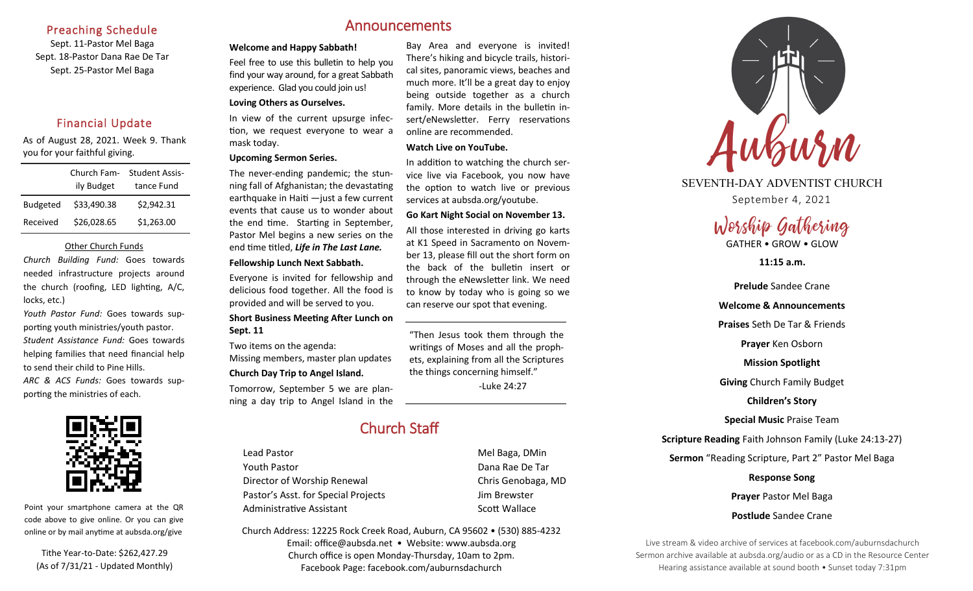# Preaching Schedule

Sept. 11-Pastor Mel Baga Sept. 18-Pastor Dana Rae De Tar Sept. 25-Pastor Mel Baga

# Financial Update

As of August 28, 2021. Week 9. Thank you for your faithful giving.

|                 | Church Fam- | <b>Student Assis-</b> |
|-----------------|-------------|-----------------------|
|                 | ily Budget  | tance Fund            |
| <b>Budgeted</b> | \$33,490.38 | \$2,942.31            |
| Received        | \$26,028.65 | \$1,263.00            |

#### Other Church Funds

*Church Building Fund:* Goes towards needed infrastructure projects around the church (roofing, LED lighting, A/C, locks, etc.)

*Youth Pastor Fund:* Goes towards supporting youth ministries/youth pastor. *Student Assistance Fund:* Goes towards helping families that need financial help to send their child to Pine Hills. *ARC & ACS Funds:* Goes towards sup-





Point your smartphone camera at the QR code above to give online. Or you can give online or by mail anytime at aubsda.org/give

Tithe Year-to-Date: \$262,427.29 (As of 7/31/21 - Updated Monthly)

# Announcements

#### **Welcome and Happy Sabbath!**

Feel free to use this bulletin to help you find your way around, for a great Sabbath experience. Glad you could join us!

# **Loving Others as Ourselves.**

In view of the current upsurge infection, we request everyone to wear a mask today.

#### **Upcoming Sermon Series.**

The never-ending pandemic; the stunning fall of Afghanistan; the devastating earthquake in Haiti —just a few current events that cause us to wonder about the end time. Starting in September, Pastor Mel begins a new series on the end time titled, *Life in The Last Lane.*

#### **Fellowship Lunch Next Sabbath.**

Everyone is invited for fellowship and delicious food together. All the food is provided and will be served to you.

#### **Short Business Meeting After Lunch on Sept. 11**

Two items on the agenda: Missing members, master plan updates

#### **Church Day Trip to Angel Island.**

Tomorrow, September 5 we are planning a day trip to Angel Island in the Bay Area and everyone is invited! There's hiking and bicycle trails, historical sites, panoramic views, beaches and much more. It'll be a great day to enjoy being outside together as a church family. More details in the bulletin insert/eNewsletter. Ferry reservations

# online are recommended. **Watch Live on YouTube.**

In addition to watching the church service live via Facebook, you now have the option to watch live or previous services at aubsda.org/youtube.

#### **Go Kart Night Social on November 13.**

All those interested in driving go karts at K1 Speed in Sacramento on November 13, please fill out the short form on the back of the bulletin insert or through the eNewsletter link. We need to know by today who is going so we can reserve our spot that evening.

"Then Jesus took them through the writings of Moses and all the prophets, explaining from all the Scriptures the things concerning himself." -Luke 24:27

# Church Staff

Lead Pastor **Mel Baga**, DMin Youth Pastor **Dana Rae De Tar** Director of Worship Renewal Chris Genobaga, MD Pastor's Asst. for Special Projects Fig. 3.1 Jim Brewster Administrative Assistant No. 2006 Scott Wallace

Church Address: 12225 Rock Creek Road, Auburn, CA 95602 • (530) 885-4232 Email: office@aubsda.net • Website: www.aubsda.org Church office is open Monday-Thursday, 10am to 2pm. Facebook Page: facebook.com/auburnsdachurch



# SEVENTH-DAY ADVENTIST CHURCH

September 4, 2021

# Worship Gathering

GATHER • GROW • GLOW

**11:15 a.m.**

**Prelude** Sandee Crane

# **Welcome & Announcements Praises** Seth De Tar & Friends **Prayer** Ken Osborn

**Mission Spotlight**

**Giving** Church Family Budget

**Children's Story**

**Special Music** Praise Team

**Scripture Reading** Faith Johnson Family (Luke 24:13-27)

**Sermon** "Reading Scripture, Part 2" Pastor Mel Baga

**Response Song**

**Prayer** Pastor Mel Baga

**Postlude** Sandee Crane

Live stream & video archive of services at facebook.com/auburnsdachurch Sermon archive available at aubsda.org/audio or as a CD in the Resource Center Hearing assistance available at sound booth • Sunset today 7:31pm